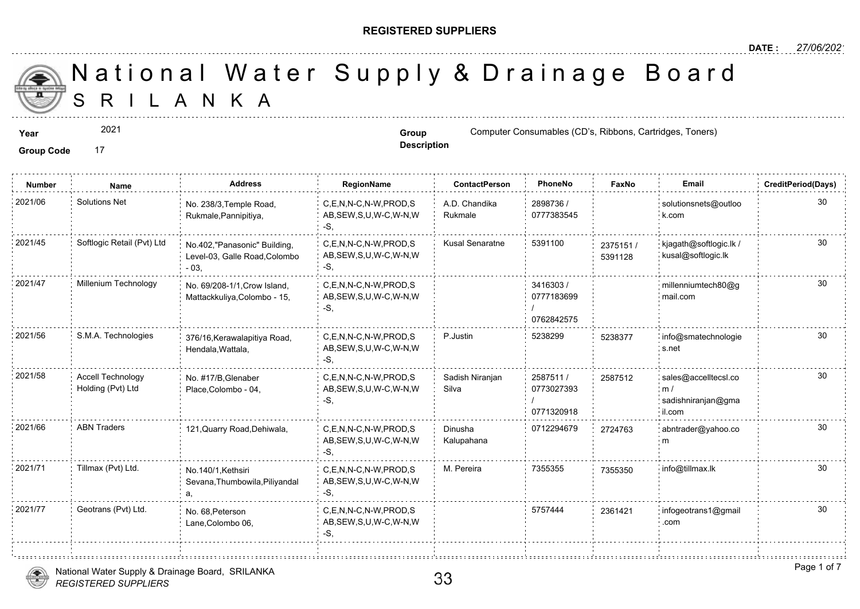#### **REGISTERED SUPPLIERS**

S R I L A N K A National Water Supply & Drainage

2021

Group Code 17

**Description**

**Year Group** Computer Consumables (CD's, Ribbons, Carterial and Computer Consumables (CD's, Ribbons, Toners)

| <b>Number</b> | <b>Name</b>                                   | <b>Address</b>                                                          | RegionName                                                | <b>ContactPerson</b>     | PhoneNo                              | Faxl             |
|---------------|-----------------------------------------------|-------------------------------------------------------------------------|-----------------------------------------------------------|--------------------------|--------------------------------------|------------------|
| 2021/06       | <b>Solutions Net</b>                          | No. 238/3, Temple Road,<br>Rukmale, Pannipitiya,                        | C.E.N.N-C.N-W.PROD.S<br>AB, SEW, S, U, W-C, W-N, W<br>-S. | A.D. Chandika<br>Rukmale | 2898736 /<br>0777383545              |                  |
| 2021/45       | Softlogic Retail (Pvt) Ltd                    | No.402,"Panasonic" Building,<br>Level-03, Galle Road, Colombo<br>$-03.$ | C.E.N.N-C.N-W.PROD.S<br>AB, SEW, S, U, W-C, W-N, W<br>-S, | <b>Kusal Senaratne</b>   | 5391100                              | 237515<br>539112 |
| 2021/47       | Millenium Technology                          | No. 69/208-1/1, Crow Island,<br>Mattackkuliya, Colombo - 15,            | C,E,N,N-C,N-W,PROD,S<br>AB, SEW, S, U, W-C, W-N, W<br>-S. |                          | 3416303/<br>0777183699<br>0762842575 |                  |
| 2021/56       | S.M.A. Technologies                           | 376/16, Kerawalapitiya Road,<br>Hendala, Wattala,                       | C,E,N,N-C,N-W,PROD,S<br>AB, SEW, S, U, W-C, W-N, W<br>-S, | P.Justin                 | 5238299                              | 523837           |
| 2021/58       | <b>Accell Technology</b><br>Holding (Pvt) Ltd | No. #17/B, Glenaber<br>Place, Colombo - 04,                             | C,E,N,N-C,N-W,PROD,S<br>AB, SEW, S, U, W-C, W-N, W<br>-S. | Sadish Niranjan<br>Silva | 2587511/<br>0773027393<br>0771320918 | 25875            |
| 2021/66       | <b>ABN Traders</b>                            | 121, Quarry Road, Dehiwala,                                             | C.E.N.N-C.N-W.PROD.S<br>AB, SEW, S, U, W-C, W-N, W<br>-S, | Dinusha<br>Kalupahana    | 0712294679                           | 272476           |
| 2021/71       | Tillmax (Pvt) Ltd.                            | No.140/1.Kethsiri<br>Sevana, Thumbowila, Piliyandal                     | C,E,N,N-C,N-W,PROD,S<br>AB, SEW, S, U, W-C, W-N, W<br>-S, | M. Pereira               | 7355355                              | 735535           |
| 2021/77       | Geotrans (Pvt) Ltd.                           | No. 68, Peterson<br>Lane, Colombo 06,                                   | C.E.N.N-C.N-W.PROD.S<br>AB, SEW, S, U, W-C, W-N, W        |                          | 5757444                              | 236142           |

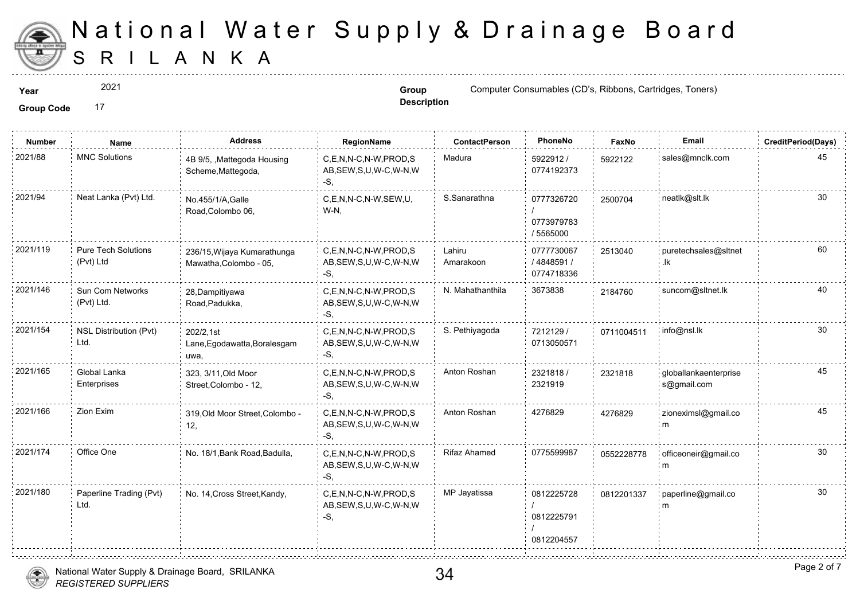

2021

**Description**

**Year Computer Consumables (CD's, Ribbons, Cartes, Toners) Group Group Computer Consumables (CD's, Ribbons**, Toners)

| <b>Number</b> | Name                                    | <b>Address</b>                                        | RegionName                                                   | <b>ContactPerson</b> | PhoneNo                                | Faxl   |
|---------------|-----------------------------------------|-------------------------------------------------------|--------------------------------------------------------------|----------------------|----------------------------------------|--------|
| 2021/88       | <b>MNC Solutions</b>                    | 4B 9/5, , Mattegoda Housing<br>Scheme, Mattegoda,     | C.E.N.N-C.N-W.PROD.S<br>AB, SEW, S, U, W-C, W-N, W<br>-S,    | Madura               | 5922912 /<br>0774192373                | 592212 |
| 2021/94       | Neat Lanka (Pvt) Ltd.                   | No.455/1/A, Galle<br>Road, Colombo 06,                | C.E.N.N-C.N-W.SEW.U.<br>W-N,                                 | S.Sanarathna         | 0777326720<br>0773979783<br>/ 5565000  | 250070 |
| 2021/119      | <b>Pure Tech Solutions</b><br>(Pvt) Ltd | 236/15, Wijaya Kumarathunga<br>Mawatha, Colombo - 05, | C,E,N,N-C,N-W,PROD,S<br>AB, SEW, S, U, W-C, W-N, W<br>-S.    | Lahiru<br>Amarakoon  | 0777730067<br>/4848591/<br>0774718336  | 251304 |
| 2021/146      | Sun Com Networks<br>(Pvt) Ltd.          | 28, Dampitiyawa<br>Road, Padukka,                     | C,E,N,N-C,N-W,PROD,S<br>AB, SEW, S, U, W-C, W-N, W<br>-S.    | N. Mahathanthila     | 3673838                                | 218476 |
| 2021/154      | <b>NSL Distribution (Pvt)</b><br>Ltd.   | 202/2.1st<br>Lane, Egodawatta, Boralesgam<br>uwa,     | C.E.N.N-C.N-W.PROD.S<br>AB, SEW, S, U, W-C, W-N, W<br>-S,    | S. Pethiyagoda       | 7212129 /<br>0713050571                | 071100 |
| 2021/165      | Global Lanka<br>Enterprises             | 323, 3/11, Old Moor<br>Street, Colombo - 12,          | C.E.N.N-C.N-W.PROD.S<br>AB, SEW, S, U, W-C, W-N, W<br>-S.    | Anton Roshan         | 2321818/<br>2321919                    | 232181 |
| 2021/166      | Zion Exim                               | 319, Old Moor Street, Colombo -<br>12,                | C,E,N,N-C,N-W,PROD,S<br>AB, SEW, S, U, W-C, W-N, W<br>-S,    | Anton Roshan         | 4276829                                | 427682 |
| 2021/174      | Office One                              | No. 18/1, Bank Road, Badulla,                         | C,E,N,N-C,N-W,PROD,S<br>AB, SEW, S, U, W-C, W-N, W<br>$-S$ . | <b>Rifaz Ahamed</b>  | 0775599987                             | 055222 |
| 2021/180      | Paperline Trading (Pvt)<br>Ltd.         | No. 14, Cross Street, Kandy,                          | C.E.N.N-C.N-W.PROD.S<br>AB, SEW, S, U, W-C, W-N, W<br>-S.    | MP Jayatissa         | 0812225728<br>0812225791<br>0812204557 | 081220 |
|               |                                         |                                                       |                                                              |                      |                                        |        |

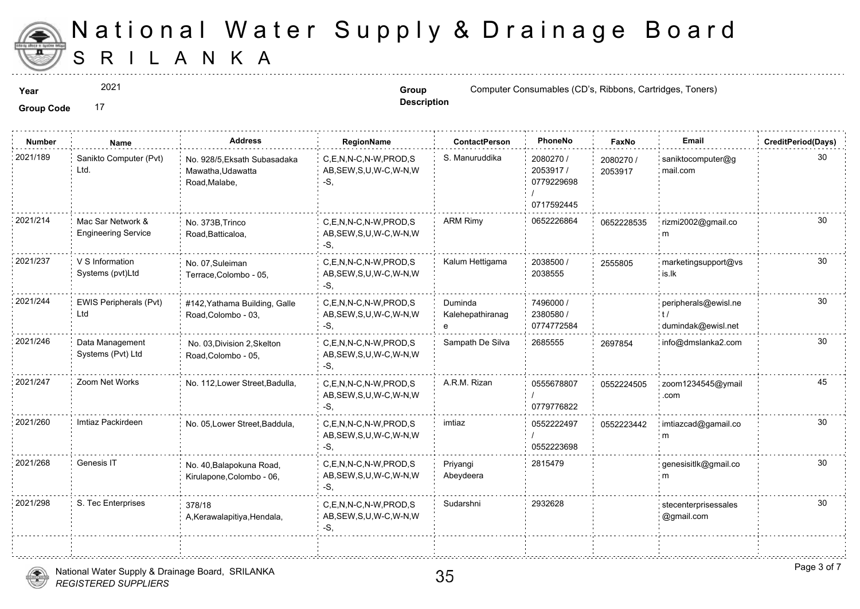

÷.

2021

**Description**

**Year Computer Consumables (CD's, Ribbons, Cartes, Toners) Group Group Computer Consumables (CD's, Ribbons**, Toners)

Group Code 17

| <b>Number</b> | Name                                            | <b>Address</b>                                                     | RegionName                                                   | <b>ContactPerson</b>        | PhoneNo                                           | Faxl             |
|---------------|-------------------------------------------------|--------------------------------------------------------------------|--------------------------------------------------------------|-----------------------------|---------------------------------------------------|------------------|
| 2021/189      | Sanikto Computer (Pvt)<br>Ltd.                  | No. 928/5, Eksath Subasadaka<br>Mawatha, Udawatta<br>Road, Malabe, | C.E.N.N-C.N-W.PROD.S<br>AB, SEW, S, U, W-C, W-N, W<br>-S.    | S. Manuruddika              | 2080270 /<br>2053917/<br>0779229698<br>0717592445 | 208027<br>205391 |
| 2021/214      | Mac Sar Network &<br><b>Engineering Service</b> | No. 373B, Trinco<br>Road, Batticaloa,                              | C,E,N,N-C,N-W,PROD,S<br>AB, SEW, S, U, W-C, W-N, W<br>$-S$ . | <b>ARM Rimy</b>             | 0652226864                                        | 065222           |
| 2021/237      | V S Information<br>Systems (pvt)Ltd             | No. 07, Suleiman<br>Terrace, Colombo - 05,                         | C.E.N.N-C.N-W.PROD.S<br>AB, SEW, S, U, W-C, W-N, W<br>-S,    | Kalum Hettigama             | 2038500 /<br>2038555                              | 255580           |
| 2021/244      | EWIS Peripherals (Pvt)<br>Ltd                   | #142, Yathama Building, Galle<br>Road, Colombo - 03,               | C,E,N,N-C,N-W,PROD,S<br>AB, SEW, S, U, W-C, W-N, W<br>-S.    | Duminda<br>Kalehepathiranag | 7496000 /<br>2380580 /<br>0774772584              |                  |
| 2021/246      | Data Management<br>Systems (Pvt) Ltd            | No. 03, Division 2, Skelton<br>Road, Colombo - 05,                 | C,E,N,N-C,N-W,PROD,S<br>AB, SEW, S, U, W-C, W-N, W<br>$-S$ . | Sampath De Silva            | 2685555                                           | 269785           |
| 2021/247      | Zoom Net Works                                  | No. 112, Lower Street, Badulla,                                    | C,E,N,N-C,N-W,PROD,S<br>AB, SEW, S, U, W-C, W-N, W<br>-S.    | A.R.M. Rizan                | 0555678807<br>0779776822                          | 055222           |
| 2021/260      | Imtiaz Packirdeen                               | No. 05, Lower Street, Baddula,                                     | C.E.N.N-C.N-W.PROD.S<br>AB, SEW, S, U, W-C, W-N, W<br>-S.    | imtiaz                      | 0552222497<br>0552223698                          | 055222           |
| 2021/268      | Genesis IT                                      | No. 40, Balapokuna Road,<br>Kirulapone, Colombo - 06,              | C,E,N,N-C,N-W,PROD,S<br>AB, SEW, S, U, W-C, W-N, W<br>-S,    | Priyangi<br>Abeydeera       | 2815479                                           |                  |
| 2021/298      | S. Tec Enterprises                              | 378/18<br>A, Kerawalapitiya, Hendala,                              | C.E.N.N-C.N-W.PROD.S<br>AB, SEW, S, U, W-C, W-N, W<br>-S,    | Sudarshni                   | 2932628                                           |                  |
|               |                                                 |                                                                    |                                                              |                             |                                                   |                  |



<u>. . . . . . . ! . . . . . . . .</u>

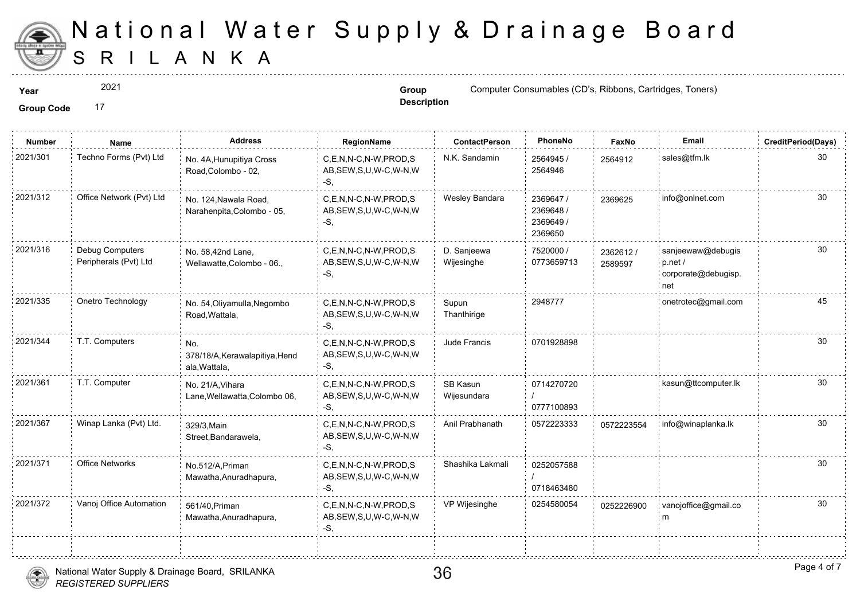

2021

**Description**

**Year Group Group** Computer Consumables (CD's, Ribbons, Carterial Computer Consumables (CD's, Ribbons, Toners)

| <b>Number</b> | Name                                     | <b>Address</b>                                         | RegionName                                                   | <b>ContactPerson</b>      | PhoneNo                                        | Faxl             |
|---------------|------------------------------------------|--------------------------------------------------------|--------------------------------------------------------------|---------------------------|------------------------------------------------|------------------|
| 2021/301      | Techno Forms (Pvt) Ltd                   | No. 4A, Hunupitiya Cross<br>Road, Colombo - 02,        | C,E,N,N-C,N-W,PROD,S<br>AB, SEW, S, U, W-C, W-N, W<br>$-S,$  | N.K. Sandamin             | 2564945 /<br>2564946                           | 256491           |
| 2021/312      | Office Network (Pvt) Ltd                 | No. 124, Nawala Road,<br>Narahenpita, Colombo - 05,    | C,E,N,N-C,N-W,PROD,S<br>AB, SEW, S, U, W-C, W-N, W<br>$-S,$  | Wesley Bandara            | 2369647 /<br>2369648 /<br>2369649 /<br>2369650 | 236962           |
| 2021/316      | Debug Computers<br>Peripherals (Pvt) Ltd | No. 58,42nd Lane,<br>Wellawatte, Colombo - 06.,        | C,E,N,N-C,N-W,PROD,S<br>AB, SEW, S, U, W-C, W-N, W<br>$-S$ . | D. Sanjeewa<br>Wijesinghe | 7520000 /<br>0773659713                        | 236261<br>258959 |
| 2021/335      | Onetro Technology                        | No. 54, Oliyamulla, Negombo<br>Road, Wattala,          | C.E.N.N-C.N-W.PROD.S<br>AB, SEW, S, U, W-C, W-N, W<br>-S.    | Supun<br>Thanthirige      | 2948777                                        |                  |
| 2021/344      | T.T. Computers                           | No.<br>378/18/A, Kerawalapitiya, Hend<br>ala, Wattala, | C.E.N.N-C.N-W.PROD.S<br>AB, SEW, S, U, W-C, W-N, W<br>-S,    | Jude Francis              | 0701928898                                     |                  |
| 2021/361      | T.T. Computer                            | No. 21/A, Vihara<br>Lane, Wellawatta, Colombo 06,      | C,E,N,N-C,N-W,PROD,S<br>AB, SEW, S, U, W-C, W-N, W<br>$-S$ , | SB Kasun<br>Wijesundara   | 0714270720<br>0777100893                       |                  |
| 2021/367      | Winap Lanka (Pvt) Ltd.                   | 329/3, Main<br>Street, Bandarawela,                    | C,E,N,N-C,N-W,PROD,S<br>AB, SEW, S, U, W-C, W-N, W<br>$-S$ . | Anil Prabhanath           | 0572223333                                     | 057222           |
| 2021/371      | <b>Office Networks</b>                   | No.512/A, Priman<br>Mawatha, Anuradhapura,             | C,E,N,N-C,N-W,PROD,S<br>AB, SEW, S, U, W-C, W-N, W<br>$-S$ , | Shashika Lakmali          | 0252057588<br>0718463480                       |                  |
| 2021/372      | Vanoj Office Automation                  | 561/40. Priman<br>Mawatha, Anuradhapura,               | C.E.N.N-C.N-W.PROD.S<br>AB, SEW, S, U, W-C, W-N, W<br>-S.    | VP Wijesinghe             | 0254580054                                     | 025222           |
|               |                                          |                                                        |                                                              |                           |                                                |                  |



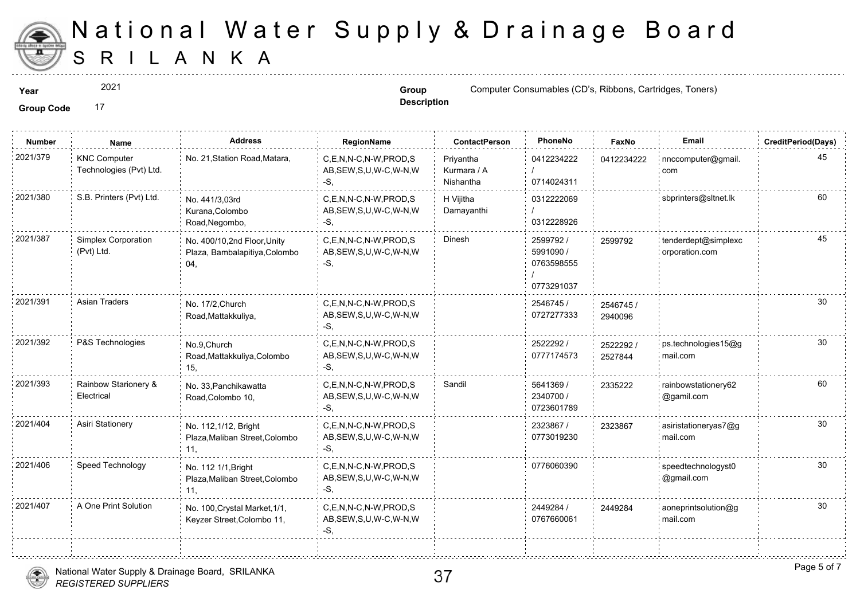

2021

**Description**

**Year Group Group Computer Consumables (CD's, Ribbons, Carteriors, Toners)** 

| <b>Number</b> | Name                                           | <b>Address</b>                                                      | RegionName                                                   | <b>ContactPerson</b>                  | PhoneNo                                            | Faxl             |
|---------------|------------------------------------------------|---------------------------------------------------------------------|--------------------------------------------------------------|---------------------------------------|----------------------------------------------------|------------------|
| 2021/379      | <b>KNC Computer</b><br>Technologies (Pvt) Ltd. | No. 21, Station Road, Matara,                                       | C,E,N,N-C,N-W,PROD,S<br>AB, SEW, S, U, W-C, W-N, W<br>$-S$ . | Priyantha<br>Kurmara / A<br>Nishantha | 0412234222<br>0714024311                           | 041223           |
| 2021/380      | S.B. Printers (Pvt) Ltd.                       | No. 441/3.03rd<br>Kurana, Colombo<br>Road, Negombo,                 | C.E.N.N-C.N-W.PROD.S<br>AB, SEW, S, U, W-C, W-N, W<br>-S,    | H Vijitha<br>Damayanthi               | 0312222069<br>0312228926                           |                  |
| 2021/387      | Simplex Corporation<br>(Pvt) Ltd.              | No. 400/10,2nd Floor, Unity<br>Plaza, Bambalapitiya, Colombo<br>04, | C,E,N,N-C,N-W,PROD,S<br>AB, SEW, S, U, W-C, W-N, W<br>-S.    | Dinesh                                | 2599792 /<br>5991090 /<br>0763598555<br>0773291037 | 259979           |
| 2021/391      | <b>Asian Traders</b>                           | No. 17/2, Church<br>Road, Mattakkuliya,                             | C,E,N,N-C,N-W,PROD,S<br>AB, SEW, S, U, W-C, W-N, W<br>-S,    |                                       | 2546745 /<br>0727277333                            | 254674<br>294009 |
| 2021/392      | P&S Technologies                               | No.9, Church<br>Road, Mattakkuliya, Colombo<br>15,                  | C.E.N.N-C.N-W.PROD.S<br>AB, SEW, S, U, W-C, W-N, W<br>$-S$ , |                                       | 2522292 /<br>0777174573                            | 252229<br>252784 |
| 2021/393      | Rainbow Starionery &<br>Electrical             | No. 33, Panchikawatta<br>Road, Colombo 10,                          | C,E,N,N-C,N-W,PROD,S<br>AB, SEW, S, U, W-C, W-N, W<br>-S.    | Sandil                                | 5641369 /<br>2340700 /<br>0723601789               | 233522           |
| 2021/404      | Asiri Stationery                               | No. 112,1/12, Bright<br>Plaza, Maliban Street, Colombo<br>11.       | C,E,N,N-C,N-W,PROD,S<br>AB, SEW, S, U, W-C, W-N, W<br>-S.    |                                       | 2323867 /<br>0773019230                            | 232386           |
| 2021/406      | Speed Technology                               | No. 112 1/1, Bright<br>Plaza, Maliban Street, Colombo<br>11,        | C,E,N,N-C,N-W,PROD,S<br>AB, SEW, S, U, W-C, W-N, W<br>$-S,$  |                                       | 0776060390                                         |                  |
| 2021/407      | A One Print Solution                           | No. 100, Crystal Market, 1/1,<br>Keyzer Street, Colombo 11,         | C,E,N,N-C,N-W,PROD,S<br>AB, SEW, S, U, W-C, W-N, W<br>-S,    |                                       | 2449284 /<br>0767660061                            | 244928           |
|               |                                                |                                                                     |                                                              |                                       |                                                    |                  |

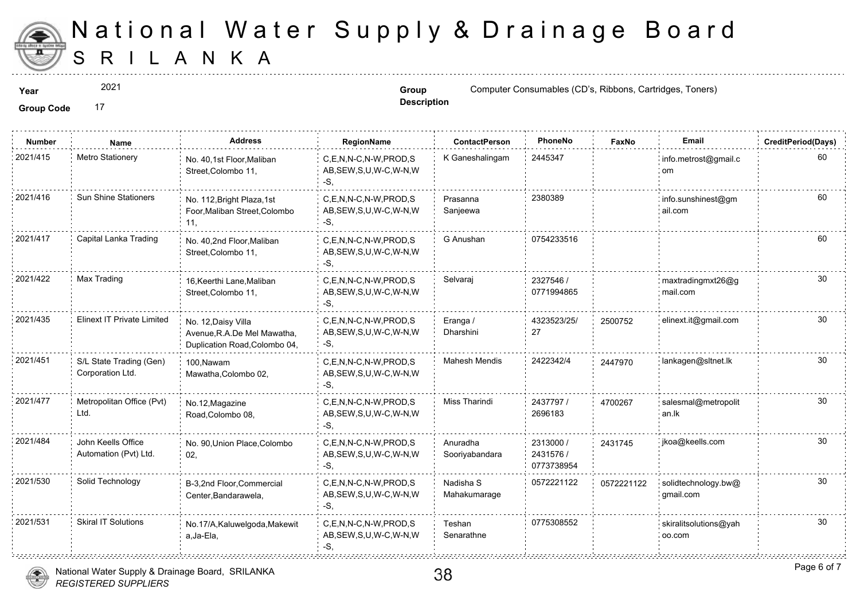

2021

**Description**

**Year Group** Computer Consumables (CD's, Ribbons, Carterial and Computer Consumables (CD's, Ribbons, Toners)

| <b>Number</b> | Name                                        | <b>Address</b>                                                                      | RegionName                                                   | <b>ContactPerson</b>       | PhoneNo                              | Faxl   |
|---------------|---------------------------------------------|-------------------------------------------------------------------------------------|--------------------------------------------------------------|----------------------------|--------------------------------------|--------|
| 2021/415      | Metro Stationery                            | No. 40,1st Floor, Maliban<br>Street, Colombo 11,                                    | C,E,N,N-C,N-W,PROD,S<br>AB, SEW, S, U, W-C, W-N, W<br>-S,    | K Ganeshalingam            | 2445347                              |        |
| 2021/416      | <b>Sun Shine Stationers</b>                 | No. 112, Bright Plaza, 1st<br>Foor, Maliban Street, Colombo<br>11.                  | C,E,N,N-C,N-W,PROD,S<br>AB, SEW, S, U, W-C, W-N, W<br>-S,    | Prasanna<br>Sanjeewa       | 2380389                              |        |
| 2021/417      | Capital Lanka Trading                       | No. 40,2nd Floor, Maliban<br>Street, Colombo 11,                                    | C,E,N,N-C,N-W,PROD,S<br>AB, SEW, S, U, W-C, W-N, W<br>-S.    | G Anushan                  | 0754233516                           |        |
| 2021/422      | Max Trading                                 | 16, Keerthi Lane, Maliban<br>Street, Colombo 11,                                    | C.E.N.N-C.N-W.PROD.S<br>AB, SEW, S, U, W-C, W-N, W<br>-S.    | Selvaraj                   | 2327546 /<br>0771994865              |        |
| 2021/435      | Elinext IT Private Limited                  | No. 12, Daisy Villa<br>Avenue, R.A.De Mel Mawatha,<br>Duplication Road, Colombo 04, | C,E,N,N-C,N-W,PROD,S<br>AB, SEW, S, U, W-C, W-N, W<br>$-S$ , | Eranga /<br>Dharshini      | 4323523/25/<br>27                    | 250075 |
| 2021/451      | S/L State Trading (Gen)<br>Corporation Ltd. | 100, Nawam<br>Mawatha, Colombo 02,                                                  | C.E.N.N-C.N-W.PROD.S<br>AB, SEW, S, U, W-C, W-N, W<br>-S.    | <b>Mahesh Mendis</b>       | 2422342/4                            | 244797 |
| 2021/477      | Metropolitan Office (Pvt)<br>Ltd.           | No.12, Magazine<br>Road, Colombo 08,                                                | C,E,N,N-C,N-W,PROD,S<br>AB, SEW, S, U, W-C, W-N, W<br>-S.    | Miss Tharindi              | 2437797/<br>2696183                  | 470026 |
| 2021/484      | John Keells Office<br>Automation (Pvt) Ltd. | No. 90, Union Place, Colombo<br>02,                                                 | C,E,N,N-C,N-W,PROD,S<br>AB, SEW, S, U, W-C, W-N, W<br>-S.    | Anuradha<br>Sooriyabandara | 2313000 /<br>2431576 /<br>0773738954 | 243174 |
| 2021/530      | Solid Technology                            | B-3,2nd Floor, Commercial<br>Center, Bandarawela,                                   | C.E.N.N-C.N-W.PROD.S<br>AB, SEW, S, U, W-C, W-N, W<br>-S.    | Nadisha S<br>Mahakumarage  | 0572221122                           | 057222 |
| 2021/531      | <b>Skiral IT Solutions</b>                  | No.17/A, Kaluwelgoda, Makewit<br>a, Ja-Ela,                                         | C.E.N.N-C.N-W.PROD.S<br>AB, SEW, S, U, W-C, W-N, W<br>-S.    | Teshan<br>Senarathne       | 0775308552                           |        |